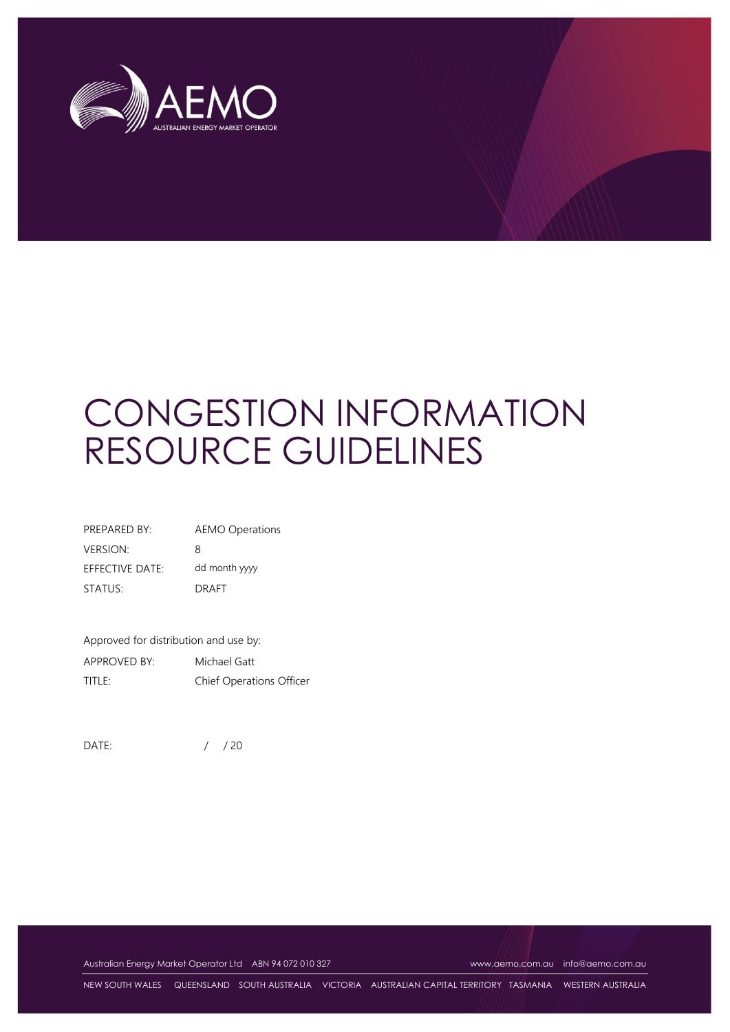

# CONGESTION INFORMATION RESOURCE GUIDELINES

| PREPARED BY:           | <b>AEMO Operations</b> |
|------------------------|------------------------|
| VERSION:               | 8                      |
| <b>EFFECTIVE DATE:</b> | dd month yyyy          |
| STATUS:                | <b>DRAFT</b>           |

Approved for distribution and use by: APPROVED BY: Michael Gatt TITLE: Chief Operations Officer

DATE: / / 20

Australian Energy Market Operator Ltd ABN 94 072 010 327 [www.aemo.com.au](http://www.aemo.com.au/) [info@aemo.com.au](mailto:info@aemo.com.au)

NEW SOUTH WALES QUEENSLAND SOUTH AUSTRALIA VICTORIA AUSTRALIAN CAPITAL TERRITORY TASMANIA WESTERN AUSTRALIA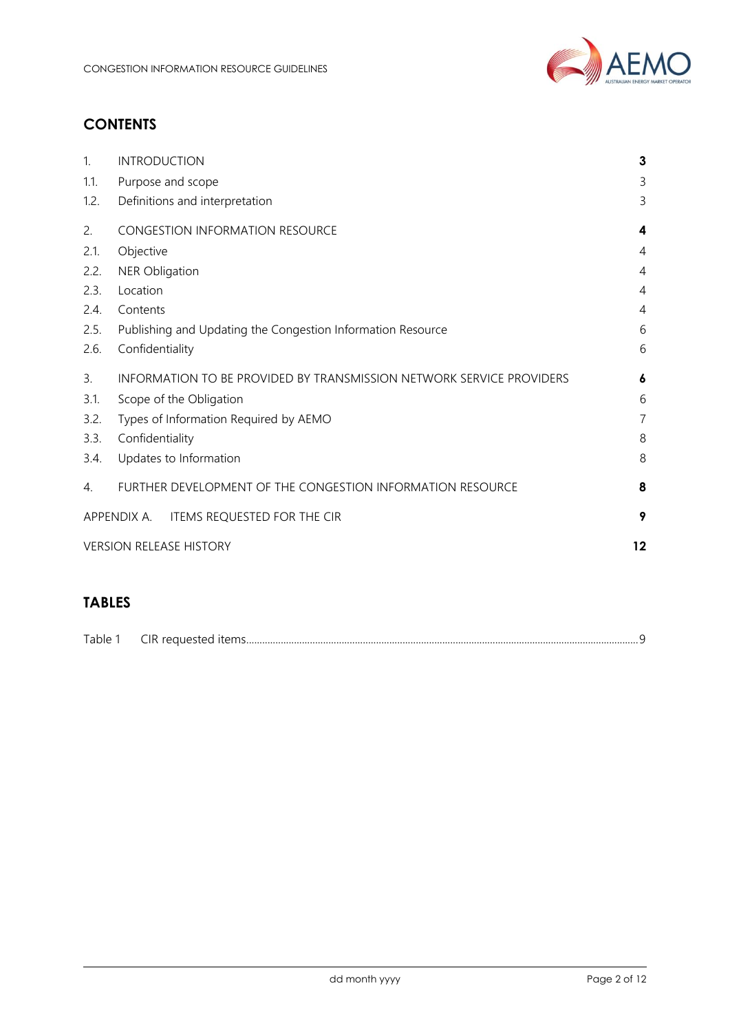

# **CONTENTS**

| 1.   | <b>INTRODUCTION</b>                                                  | 3              |  |
|------|----------------------------------------------------------------------|----------------|--|
| 1.1. | Purpose and scope                                                    | 3              |  |
| 1.2. | Definitions and interpretation                                       | 3              |  |
| 2.   | <b>CONGESTION INFORMATION RESOURCE</b>                               | 4              |  |
| 2.1. | Objective                                                            | 4              |  |
| 2.2. | <b>NER Obligation</b>                                                | $\overline{4}$ |  |
| 2.3. | Location                                                             | 4              |  |
| 2.4. | Contents                                                             | $\overline{4}$ |  |
| 2.5. | Publishing and Updating the Congestion Information Resource          | 6              |  |
| 2.6. | Confidentiality                                                      | 6              |  |
| 3.   | INFORMATION TO BE PROVIDED BY TRANSMISSION NETWORK SERVICE PROVIDERS | 6              |  |
| 3.1. | Scope of the Obligation                                              | 6              |  |
| 3.2. | $\overline{7}$<br>Types of Information Required by AEMO              |                |  |
| 3.3. | Confidentiality                                                      | 8              |  |
| 3.4. | Updates to Information                                               | 8              |  |
| 4.   | FURTHER DEVELOPMENT OF THE CONGESTION INFORMATION RESOURCE           | 8              |  |
|      | APPENDIX A. ITEMS REQUESTED FOR THE CIR                              | 9              |  |
|      | <b>VERSION RELEASE HISTORY</b>                                       | 12             |  |
|      |                                                                      |                |  |

# **TABLES**

| <b>T</b> 1 1<br>- -<br>ranie | ----<br>ıь |  |
|------------------------------|------------|--|
|                              |            |  |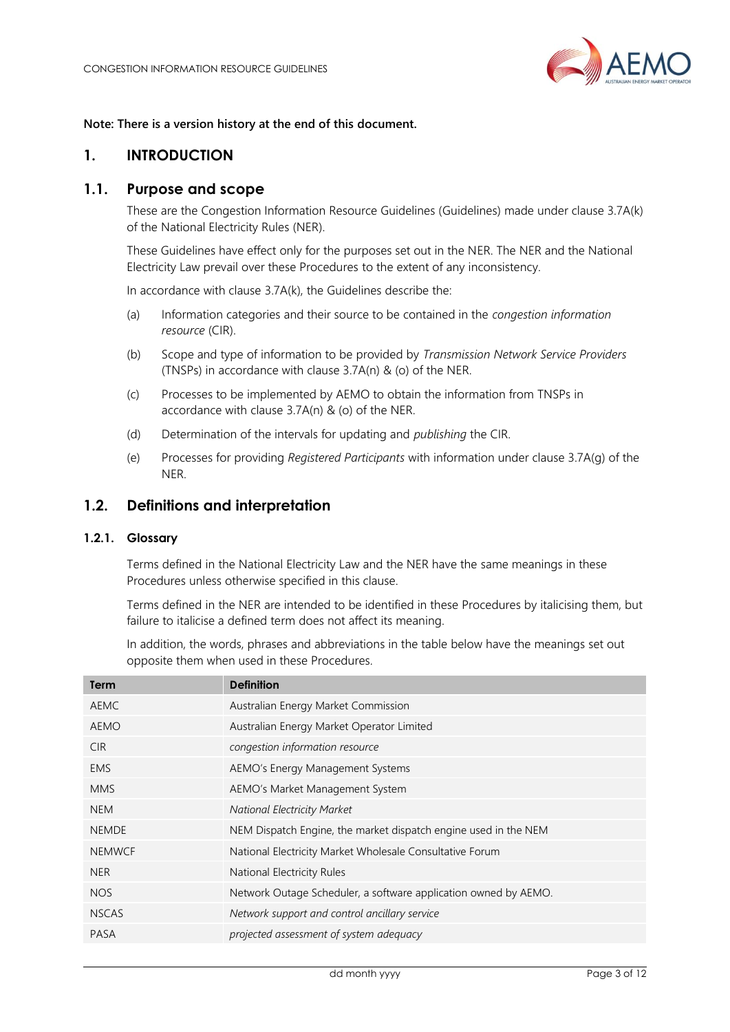

#### **Note: There is a version history at the end of this document.**

## <span id="page-2-0"></span>**1. INTRODUCTION**

## <span id="page-2-1"></span>**1.1. Purpose and scope**

These are the Congestion Information Resource Guidelines (Guidelines) made under clause 3.7A(k) of the National Electricity Rules (NER).

These Guidelines have effect only for the purposes set out in the NER. The NER and the National Electricity Law prevail over these Procedures to the extent of any inconsistency.

In accordance with clause 3.7A(k), the Guidelines describe the:

- (a) Information categories and their source to be contained in the *congestion information resource* (CIR).
- (b) Scope and type of information to be provided by *Transmission Network Service Providers* (TNSPs) in accordance with clause 3.7A(n) & (o) of the NER.
- (c) Processes to be implemented by AEMO to obtain the information from TNSPs in accordance with clause 3.7A(n) & (o) of the NER.
- (d) Determination of the intervals for updating and *publishing* the CIR.
- (e) Processes for providing *Registered Participants* with information under clause 3.7A(g) of the NER.

## <span id="page-2-2"></span>**1.2. Definitions and interpretation**

#### **1.2.1. Glossary**

Terms defined in the National Electricity Law and the NER have the same meanings in these Procedures unless otherwise specified in this clause.

Terms defined in the NER are intended to be identified in these Procedures by italicising them, but failure to italicise a defined term does not affect its meaning.

In addition, the words, phrases and abbreviations in the table below have the meanings set out opposite them when used in these Procedures.

| Term          | <b>Definition</b>                                               |
|---------------|-----------------------------------------------------------------|
| AEMC          | Australian Energy Market Commission                             |
| <b>AEMO</b>   | Australian Energy Market Operator Limited                       |
| <b>CIR</b>    | congestion information resource                                 |
| <b>EMS</b>    | AEMO's Energy Management Systems                                |
| <b>MMS</b>    | AEMO's Market Management System                                 |
| <b>NEM</b>    | <b>National Electricity Market</b>                              |
| <b>NEMDE</b>  | NEM Dispatch Engine, the market dispatch engine used in the NEM |
| <b>NEMWCF</b> | National Electricity Market Wholesale Consultative Forum        |
| NER.          | National Electricity Rules                                      |
| NOS.          | Network Outage Scheduler, a software application owned by AEMO. |
| <b>NSCAS</b>  | Network support and control ancillary service                   |
| PASA          | projected assessment of system adequacy                         |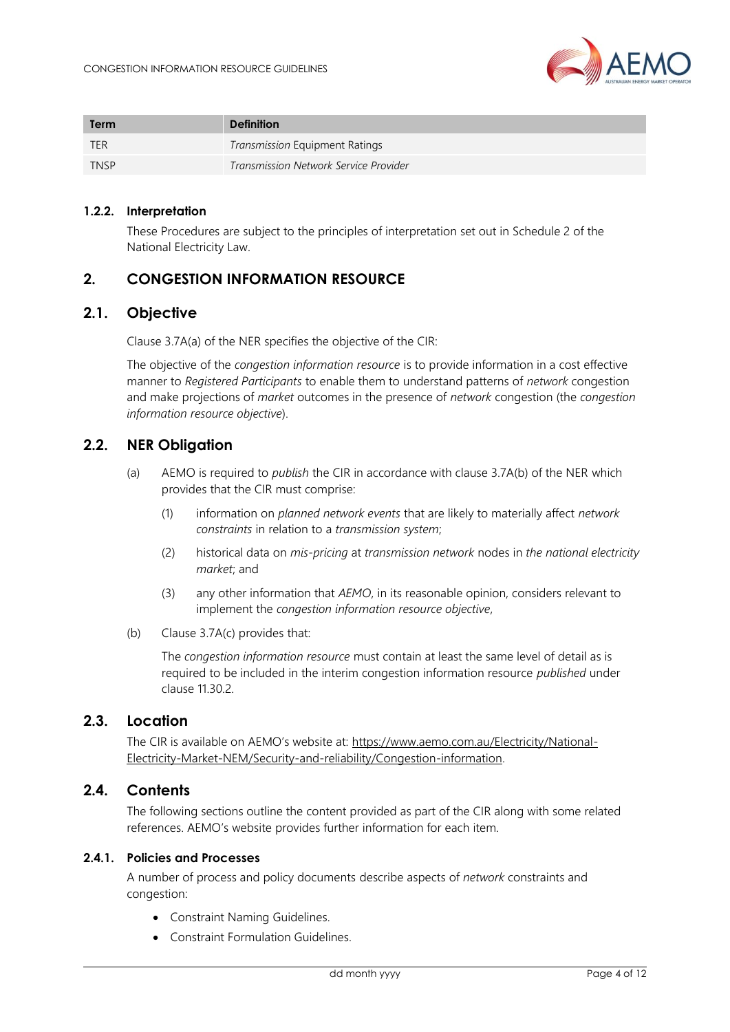

| Term        | <b>Definition</b>                     |
|-------------|---------------------------------------|
| <b>TER</b>  | <b>Transmission Equipment Ratings</b> |
| <b>TNSP</b> | Transmission Network Service Provider |

#### **1.2.2. Interpretation**

These Procedures are subject to the principles of interpretation set out in Schedule 2 of the National Electricity Law.

## <span id="page-3-0"></span>**2. CONGESTION INFORMATION RESOURCE**

## **2.1. Objective**

<span id="page-3-1"></span>Clause 3.7A(a) of the NER specifies the objective of the CIR:

The objective of the *congestion information resource* is to provide information in a cost effective manner to *Registered Participants* to enable them to understand patterns of *network* congestion and make projections of *market* outcomes in the presence of *network* congestion (the *congestion information resource objective*).

## <span id="page-3-2"></span>**2.2. NER Obligation**

- (a) AEMO is required to *publish* the CIR in accordance with clause 3.7A(b) of the NER which provides that the CIR must comprise:
	- (1) information on *planned network events* that are likely to materially affect *network constraints* in relation to a *transmission system*;
	- (2) historical data on *mis-pricing* at *transmission network* nodes in *the national electricity market*; and
	- (3) any other information that *AEMO*, in its reasonable opinion, considers relevant to implement the *congestion information resource objective*,
- (b) Clause 3.7A(c) provides that:

The *congestion information resource* must contain at least the same level of detail as is required to be included in the interim congestion information resource *published* under clause 11.30.2.

## <span id="page-3-3"></span>**2.3. Location**

The CIR is available on AEMO's website at: [https://www.aemo.com.au/Electricity/National-](https://www.aemo.com.au/Electricity/National-Electricity-Market-NEM/Security-and-reliability/Congestion-information)[Electricity-Market-NEM/Security-and-reliability/Congestion-information.](https://www.aemo.com.au/Electricity/National-Electricity-Market-NEM/Security-and-reliability/Congestion-information)

#### <span id="page-3-4"></span>**2.4. Contents**

The following sections outline the content provided as part of the CIR along with some related references. AEMO's website provides further information for each item.

#### **2.4.1. Policies and Processes**

A number of process and policy documents describe aspects of *network* constraints and congestion:

- Constraint Naming Guidelines.
- Constraint Formulation Guidelines.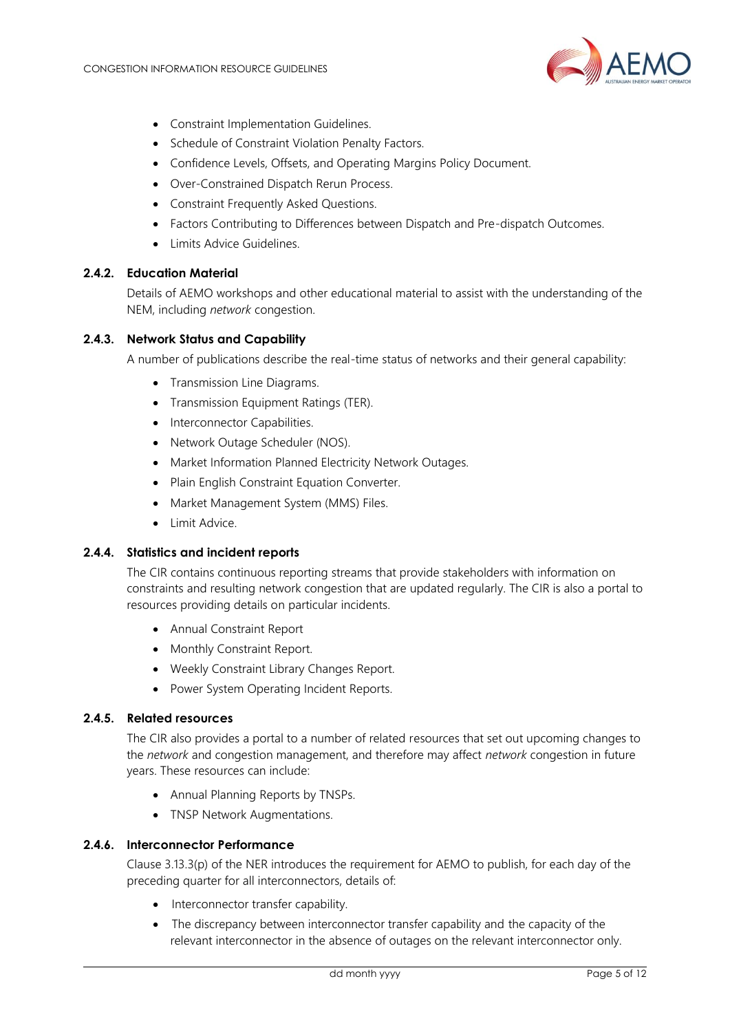

- Constraint Implementation Guidelines.
- Schedule of Constraint Violation Penalty Factors.
- Confidence Levels, Offsets, and Operating Margins Policy Document.
- Over-Constrained Dispatch Rerun Process.
- Constraint Frequently Asked Questions.
- Factors Contributing to Differences between Dispatch and Pre-dispatch Outcomes.
- Limits Advice Guidelines.

#### **2.4.2. Education Material**

Details of AEMO workshops and other educational material to assist with the understanding of the NEM, including *network* congestion.

#### **2.4.3. Network Status and Capability**

A number of publications describe the real-time status of networks and their general capability:

- Transmission Line Diagrams.
- Transmission Equipment Ratings (TER).
- Interconnector Capabilities.
- Network Outage Scheduler (NOS).
- Market Information Planned Electricity Network Outages.
- Plain English Constraint Equation Converter.
- Market Management System (MMS) Files.
- Limit Advice.

#### **2.4.4. Statistics and incident reports**

The CIR contains continuous reporting streams that provide stakeholders with information on constraints and resulting network congestion that are updated regularly. The CIR is also a portal to resources providing details on particular incidents.

- Annual Constraint Report
- Monthly Constraint Report.
- Weekly Constraint Library Changes Report.
- Power System Operating Incident Reports.

#### **2.4.5. Related resources**

The CIR also provides a portal to a number of related resources that set out upcoming changes to the *network* and congestion management, and therefore may affect *network* congestion in future years. These resources can include:

- Annual Planning Reports by TNSPs.
- TNSP Network Augmentations.

#### **2.4.6. Interconnector Performance**

Clause 3.13.3(p) of the NER introduces the requirement for AEMO to publish, for each day of the preceding quarter for all interconnectors, details of:

- Interconnector transfer capability.
- The discrepancy between interconnector transfer capability and the capacity of the relevant interconnector in the absence of outages on the relevant interconnector only.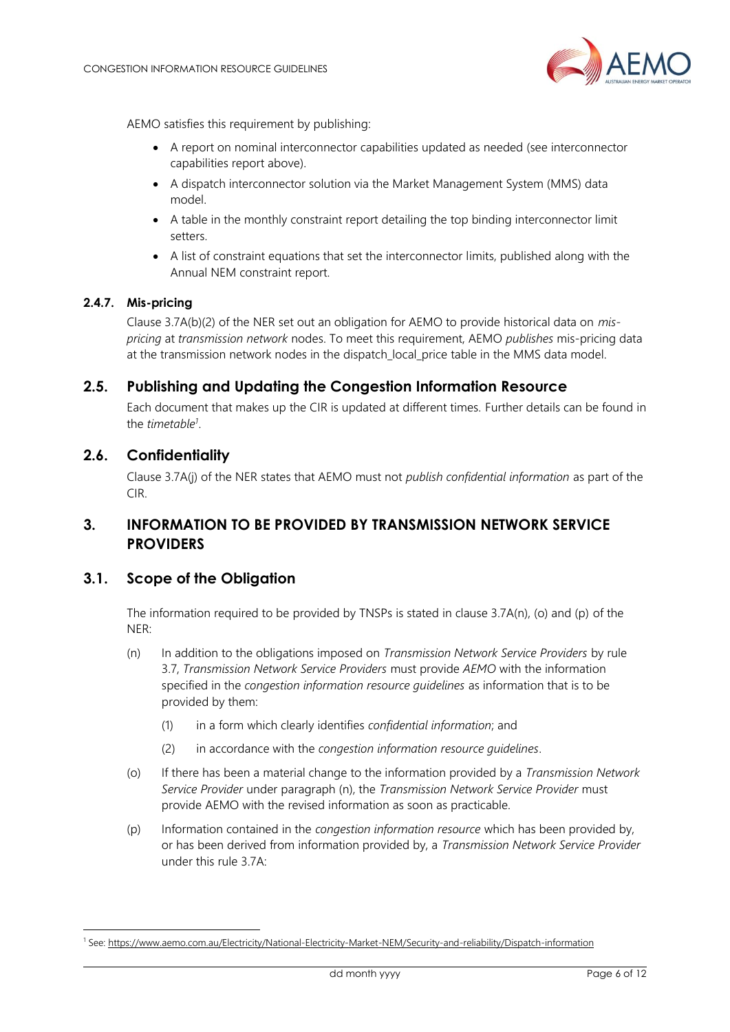

AEMO satisfies this requirement by publishing:

- A report on nominal interconnector capabilities updated as needed (see interconnector capabilities report above).
- A dispatch interconnector solution via the Market Management System (MMS) data model.
- A table in the monthly constraint report detailing the top binding interconnector limit setters.
- A list of constraint equations that set the interconnector limits, published along with the Annual NEM constraint report.

#### **2.4.7. Mis-pricing**

Clause 3.7A(b)(2) of the NER set out an obligation for AEMO to provide historical data on *mispricing* at *transmission network* nodes. To meet this requirement, AEMO *publishes* mis-pricing data at the transmission network nodes in the dispatch\_local\_price table in the MMS data model.

#### <span id="page-5-0"></span>**2.5. Publishing and Updating the Congestion Information Resource**

Each document that makes up the CIR is updated at different times. Further details can be found in the *timetable<sup>1</sup>* .

#### <span id="page-5-1"></span>**2.6. Confidentiality**

Clause 3.7A(j) of the NER states that AEMO must not *publish confidential information* as part of the CIR.

## <span id="page-5-2"></span>**3. INFORMATION TO BE PROVIDED BY TRANSMISSION NETWORK SERVICE PROVIDERS**

#### <span id="page-5-3"></span>**3.1. Scope of the Obligation**

The information required to be provided by TNSPs is stated in clause 3.7A(n), (o) and (p) of the NER:

- (n) In addition to the obligations imposed on *Transmission Network Service Providers* by rule 3.7, *Transmission Network Service Providers* must provide *AEMO* with the information specified in the *congestion information resource guidelines* as information that is to be provided by them:
	- (1) in a form which clearly identifies *confidential information*; and
	- (2) in accordance with the *congestion information resource guidelines*.
- (o) If there has been a material change to the information provided by a *Transmission Network Service Provider* under paragraph (n), the *Transmission Network Service Provider* must provide AEMO with the revised information as soon as practicable.
- (p) Information contained in the *congestion information resource* which has been provided by, or has been derived from information provided by, a *Transmission Network Service Provider* under this rule 3.7A:

<sup>1</sup> See[: https://www.aemo.com.au/Electricity/National-Electricity-Market-NEM/Security-and-reliability/Dispatch-information](https://www.aemo.com.au/Electricity/National-Electricity-Market-NEM/Security-and-reliability/Dispatch-information)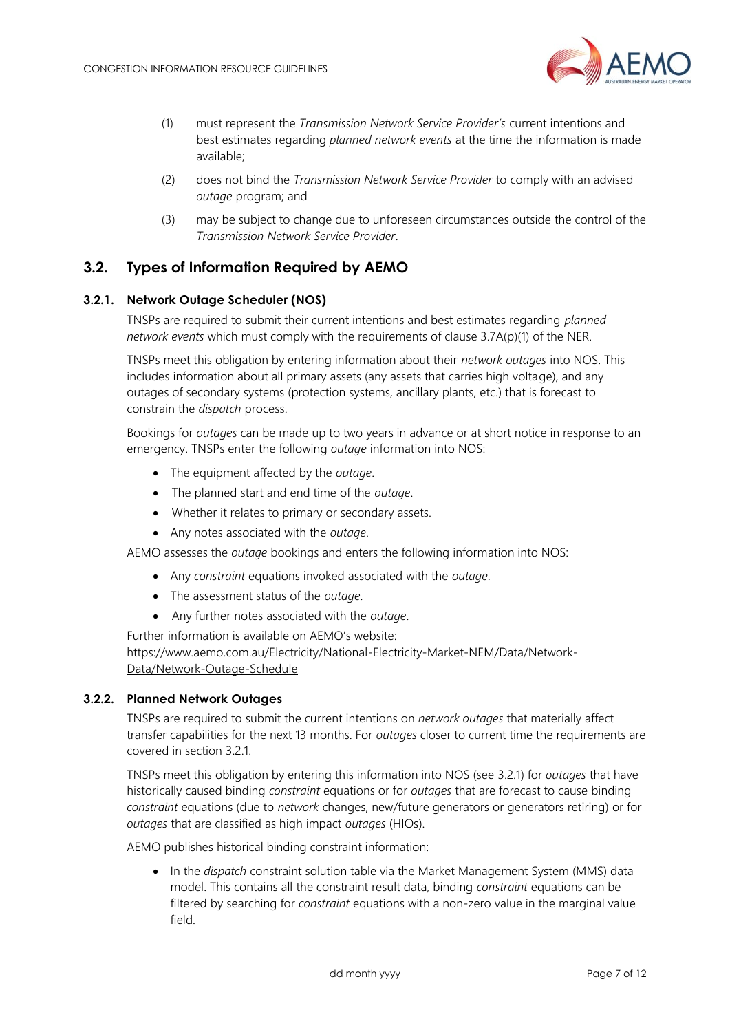

- (1) must represent the *Transmission Network Service Provider's* current intentions and best estimates regarding *planned network events* at the time the information is made available;
- (2) does not bind the *Transmission Network Service Provider* to comply with an advised *outage* program; and
- (3) may be subject to change due to unforeseen circumstances outside the control of the *Transmission Network Service Provider*.

## <span id="page-6-0"></span>**3.2. Types of Information Required by AEMO**

#### <span id="page-6-1"></span>**3.2.1. Network Outage Scheduler (NOS)**

TNSPs are required to submit their current intentions and best estimates regarding *planned network events* which must comply with the requirements of clause 3.7A(p)(1) of the NER.

TNSPs meet this obligation by entering information about their *network outages* into NOS. This includes information about all primary assets (any assets that carries high voltage), and any outages of secondary systems (protection systems, ancillary plants, etc.) that is forecast to constrain the *dispatch* process.

Bookings for *outages* can be made up to two years in advance or at short notice in response to an emergency. TNSPs enter the following *outage* information into NOS:

- The equipment affected by the *outage*.
- The planned start and end time of the *outage*.
- Whether it relates to primary or secondary assets.
- Any notes associated with the *outage*.

AEMO assesses the *outage* bookings and enters the following information into NOS:

- Any *constraint* equations invoked associated with the *outage*.
- The assessment status of the *outage*.
- Any further notes associated with the *outage*.

Further information is available on AEMO's website:

[https://www.aemo.com.au/Electricity/National-Electricity-Market-NEM/Data/Network-](https://www.aemo.com.au/Electricity/National-Electricity-Market-NEM/Data/Network-Data/Network-Outage-Schedule)[Data/Network-Outage-Schedule](https://www.aemo.com.au/Electricity/National-Electricity-Market-NEM/Data/Network-Data/Network-Outage-Schedule)

#### **3.2.2. Planned Network Outages**

TNSPs are required to submit the current intentions on *network outages* that materially affect transfer capabilities for the next 13 months. For *outages* closer to current time the requirements are covered in section [3.2.1.](#page-6-1)

TNSPs meet this obligation by entering this information into NOS (see [3.2.1\)](#page-6-1) for *outages* that have historically caused binding *constraint* equations or for *outages* that are forecast to cause binding *constraint* equations (due to *network* changes, new/future generators or generators retiring) or for *outages* that are classified as high impact *outages* (HIOs).

AEMO publishes historical binding constraint information:

• In the *dispatch* constraint solution table via the Market Management System (MMS) data model. This contains all the constraint result data, binding *constraint* equations can be filtered by searching for *constraint* equations with a non-zero value in the marginal value field.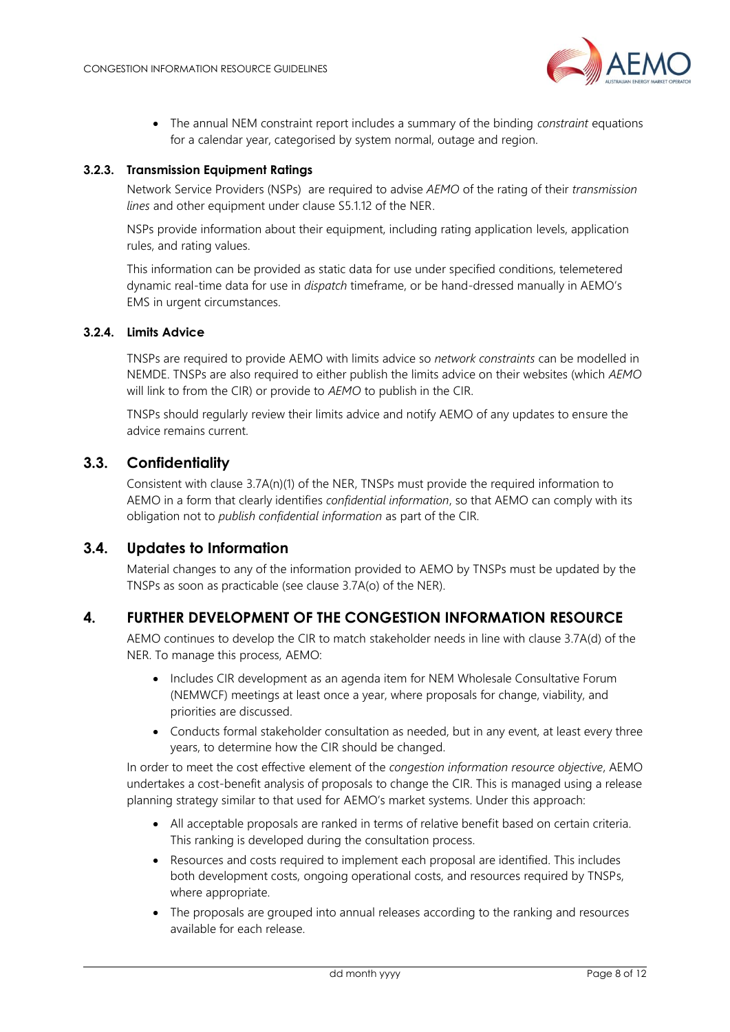

• The annual NEM constraint report includes a summary of the binding *constraint* equations for a calendar year, categorised by system normal, outage and region.

#### **3.2.3. Transmission Equipment Ratings**

Network Service Providers (NSPs) are required to advise *AEMO* of the rating of their *transmission lines* and other equipment under clause S5.1.12 of the NER.

NSPs provide information about their equipment, including rating application levels, application rules, and rating values.

This information can be provided as static data for use under specified conditions, telemetered dynamic real-time data for use in *dispatch* timeframe, or be hand-dressed manually in AEMO's EMS in urgent circumstances.

#### **3.2.4. Limits Advice**

TNSPs are required to provide AEMO with limits advice so *network constraints* can be modelled in NEMDE. TNSPs are also required to either publish the limits advice on their websites (which *AEMO* will link to from the CIR) or provide to *AEMO* to publish in the CIR.

TNSPs should regularly review their limits advice and notify AEMO of any updates to ensure the advice remains current.

## <span id="page-7-0"></span>**3.3. Confidentiality**

Consistent with clause 3.7A(n)(1) of the NER, TNSPs must provide the required information to AEMO in a form that clearly identifies *confidential information*, so that AEMO can comply with its obligation not to *publish confidential information* as part of the CIR.

## <span id="page-7-1"></span>**3.4. Updates to Information**

Material changes to any of the information provided to AEMO by TNSPs must be updated by the TNSPs as soon as practicable (see clause 3.7A(o) of the NER).

## <span id="page-7-2"></span>**4. FURTHER DEVELOPMENT OF THE CONGESTION INFORMATION RESOURCE**

AEMO continues to develop the CIR to match stakeholder needs in line with clause 3.7A(d) of the NER. To manage this process, AEMO:

- Includes CIR development as an agenda item for NEM Wholesale Consultative Forum (NEMWCF) meetings at least once a year, where proposals for change, viability, and priorities are discussed.
- Conducts formal stakeholder consultation as needed, but in any event, at least every three years, to determine how the CIR should be changed.

In order to meet the cost effective element of the *congestion information resource objective*, AEMO undertakes a cost-benefit analysis of proposals to change the CIR. This is managed using a release planning strategy similar to that used for AEMO's market systems. Under this approach:

- All acceptable proposals are ranked in terms of relative benefit based on certain criteria. This ranking is developed during the consultation process.
- Resources and costs required to implement each proposal are identified. This includes both development costs, ongoing operational costs, and resources required by TNSPs, where appropriate.
- The proposals are grouped into annual releases according to the ranking and resources available for each release.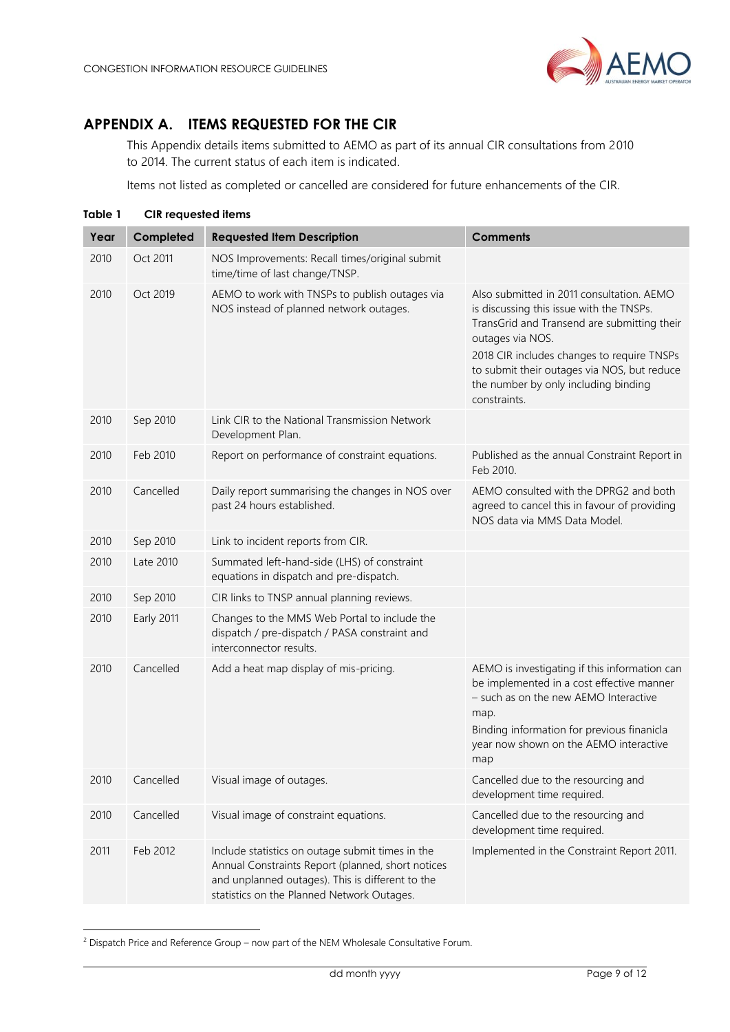

## <span id="page-8-0"></span>**APPENDIX A. ITEMS REQUESTED FOR THE CIR**

This Appendix details items submitted to AEMO as part of its annual CIR consultations from 2010 to 2014. The current status of each item is indicated.

Items not listed as completed or cancelled are considered for future enhancements of the CIR.

<span id="page-8-1"></span>

| Table 1 | <b>CIR</b> requested items |                                                                                                                                                                                                         |                                                                                                                                                                                                                                                                                                               |
|---------|----------------------------|---------------------------------------------------------------------------------------------------------------------------------------------------------------------------------------------------------|---------------------------------------------------------------------------------------------------------------------------------------------------------------------------------------------------------------------------------------------------------------------------------------------------------------|
| Year    | Completed                  | <b>Requested Item Description</b>                                                                                                                                                                       | <b>Comments</b>                                                                                                                                                                                                                                                                                               |
| 2010    | Oct 2011                   | NOS Improvements: Recall times/original submit<br>time/time of last change/TNSP.                                                                                                                        |                                                                                                                                                                                                                                                                                                               |
| 2010    | Oct 2019                   | AEMO to work with TNSPs to publish outages via<br>NOS instead of planned network outages.                                                                                                               | Also submitted in 2011 consultation. AEMO<br>is discussing this issue with the TNSPs.<br>TransGrid and Transend are submitting their<br>outages via NOS.<br>2018 CIR includes changes to require TNSPs<br>to submit their outages via NOS, but reduce<br>the number by only including binding<br>constraints. |
| 2010    | Sep 2010                   | Link CIR to the National Transmission Network<br>Development Plan.                                                                                                                                      |                                                                                                                                                                                                                                                                                                               |
| 2010    | Feb 2010                   | Report on performance of constraint equations.                                                                                                                                                          | Published as the annual Constraint Report in<br>Feb 2010.                                                                                                                                                                                                                                                     |
| 2010    | Cancelled                  | Daily report summarising the changes in NOS over<br>past 24 hours established.                                                                                                                          | AEMO consulted with the DPRG2 and both<br>agreed to cancel this in favour of providing<br>NOS data via MMS Data Model.                                                                                                                                                                                        |
| 2010    | Sep 2010                   | Link to incident reports from CIR.                                                                                                                                                                      |                                                                                                                                                                                                                                                                                                               |
| 2010    | Late 2010                  | Summated left-hand-side (LHS) of constraint<br>equations in dispatch and pre-dispatch.                                                                                                                  |                                                                                                                                                                                                                                                                                                               |
| 2010    | Sep 2010                   | CIR links to TNSP annual planning reviews.                                                                                                                                                              |                                                                                                                                                                                                                                                                                                               |
| 2010    | Early 2011                 | Changes to the MMS Web Portal to include the<br>dispatch / pre-dispatch / PASA constraint and<br>interconnector results.                                                                                |                                                                                                                                                                                                                                                                                                               |
| 2010    | Cancelled                  | Add a heat map display of mis-pricing.                                                                                                                                                                  | AEMO is investigating if this information can<br>be implemented in a cost effective manner<br>- such as on the new AEMO Interactive<br>map.<br>Binding information for previous finanicla<br>year now shown on the AEMO interactive<br>map                                                                    |
| 2010    | Cancelled                  | Visual image of outages.                                                                                                                                                                                | Cancelled due to the resourcing and<br>development time required.                                                                                                                                                                                                                                             |
| 2010    | Cancelled                  | Visual image of constraint equations.                                                                                                                                                                   | Cancelled due to the resourcing and<br>development time required.                                                                                                                                                                                                                                             |
| 2011    | Feb 2012                   | Include statistics on outage submit times in the<br>Annual Constraints Report (planned, short notices<br>and unplanned outages). This is different to the<br>statistics on the Planned Network Outages. | Implemented in the Constraint Report 2011.                                                                                                                                                                                                                                                                    |

<sup>&</sup>lt;sup>2</sup> Dispatch Price and Reference Group – now part of the NEM Wholesale Consultative Forum.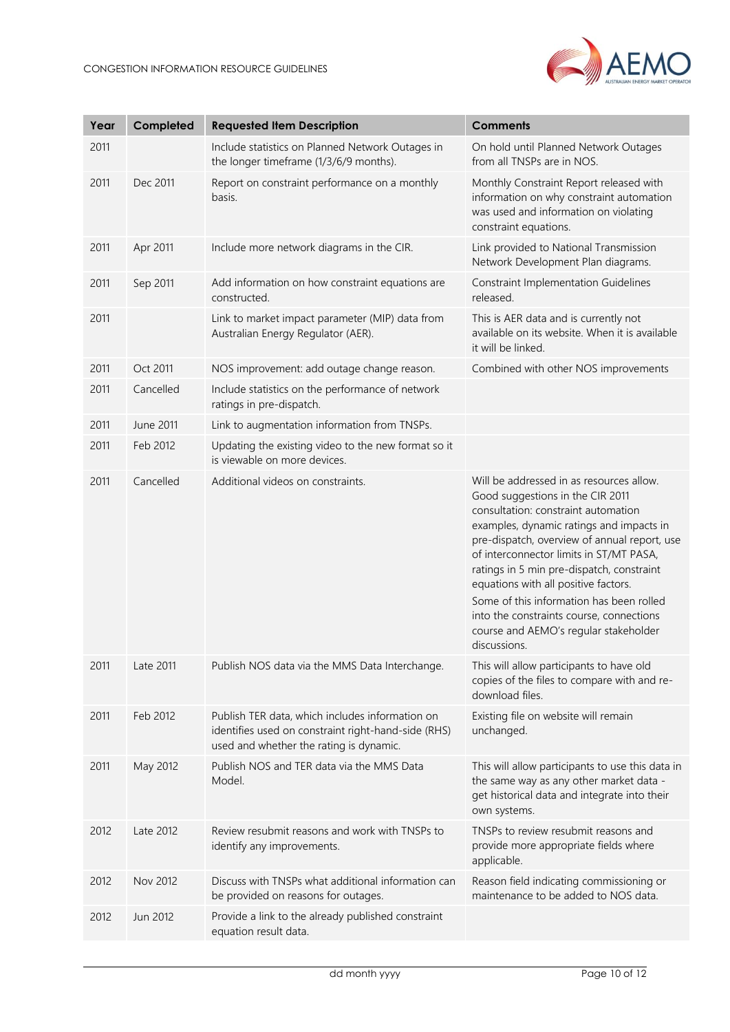

| Year | Completed | <b>Requested Item Description</b>                                                                                                                 | <b>Comments</b>                                                                                                                                                                                                                                                                                                                                                                                                                                                                                  |
|------|-----------|---------------------------------------------------------------------------------------------------------------------------------------------------|--------------------------------------------------------------------------------------------------------------------------------------------------------------------------------------------------------------------------------------------------------------------------------------------------------------------------------------------------------------------------------------------------------------------------------------------------------------------------------------------------|
| 2011 |           | Include statistics on Planned Network Outages in<br>the longer timeframe (1/3/6/9 months).                                                        | On hold until Planned Network Outages<br>from all TNSPs are in NOS.                                                                                                                                                                                                                                                                                                                                                                                                                              |
| 2011 | Dec 2011  | Report on constraint performance on a monthly<br>basis.                                                                                           | Monthly Constraint Report released with<br>information on why constraint automation<br>was used and information on violating<br>constraint equations.                                                                                                                                                                                                                                                                                                                                            |
| 2011 | Apr 2011  | Include more network diagrams in the CIR.                                                                                                         | Link provided to National Transmission<br>Network Development Plan diagrams.                                                                                                                                                                                                                                                                                                                                                                                                                     |
| 2011 | Sep 2011  | Add information on how constraint equations are<br>constructed.                                                                                   | <b>Constraint Implementation Guidelines</b><br>released.                                                                                                                                                                                                                                                                                                                                                                                                                                         |
| 2011 |           | Link to market impact parameter (MIP) data from<br>Australian Energy Regulator (AER).                                                             | This is AER data and is currently not<br>available on its website. When it is available<br>it will be linked.                                                                                                                                                                                                                                                                                                                                                                                    |
| 2011 | Oct 2011  | NOS improvement: add outage change reason.                                                                                                        | Combined with other NOS improvements                                                                                                                                                                                                                                                                                                                                                                                                                                                             |
| 2011 | Cancelled | Include statistics on the performance of network<br>ratings in pre-dispatch.                                                                      |                                                                                                                                                                                                                                                                                                                                                                                                                                                                                                  |
| 2011 | June 2011 | Link to augmentation information from TNSPs.                                                                                                      |                                                                                                                                                                                                                                                                                                                                                                                                                                                                                                  |
| 2011 | Feb 2012  | Updating the existing video to the new format so it<br>is viewable on more devices.                                                               |                                                                                                                                                                                                                                                                                                                                                                                                                                                                                                  |
| 2011 | Cancelled | Additional videos on constraints.                                                                                                                 | Will be addressed in as resources allow.<br>Good suggestions in the CIR 2011<br>consultation: constraint automation<br>examples, dynamic ratings and impacts in<br>pre-dispatch, overview of annual report, use<br>of interconnector limits in ST/MT PASA,<br>ratings in 5 min pre-dispatch, constraint<br>equations with all positive factors.<br>Some of this information has been rolled<br>into the constraints course, connections<br>course and AEMO's regular stakeholder<br>discussions. |
| 2011 | Late 2011 | Publish NOS data via the MMS Data Interchange.                                                                                                    | This will allow participants to have old<br>copies of the files to compare with and re-<br>download files.                                                                                                                                                                                                                                                                                                                                                                                       |
| 2011 | Feb 2012  | Publish TER data, which includes information on<br>identifies used on constraint right-hand-side (RHS)<br>used and whether the rating is dynamic. | Existing file on website will remain<br>unchanged.                                                                                                                                                                                                                                                                                                                                                                                                                                               |
| 2011 | May 2012  | Publish NOS and TER data via the MMS Data<br>Model.                                                                                               | This will allow participants to use this data in<br>the same way as any other market data -<br>get historical data and integrate into their<br>own systems.                                                                                                                                                                                                                                                                                                                                      |
| 2012 | Late 2012 | Review resubmit reasons and work with TNSPs to<br>identify any improvements.                                                                      | TNSPs to review resubmit reasons and<br>provide more appropriate fields where<br>applicable.                                                                                                                                                                                                                                                                                                                                                                                                     |
| 2012 | Nov 2012  | Discuss with TNSPs what additional information can<br>be provided on reasons for outages.                                                         | Reason field indicating commissioning or<br>maintenance to be added to NOS data.                                                                                                                                                                                                                                                                                                                                                                                                                 |
| 2012 | Jun 2012  | Provide a link to the already published constraint<br>equation result data.                                                                       |                                                                                                                                                                                                                                                                                                                                                                                                                                                                                                  |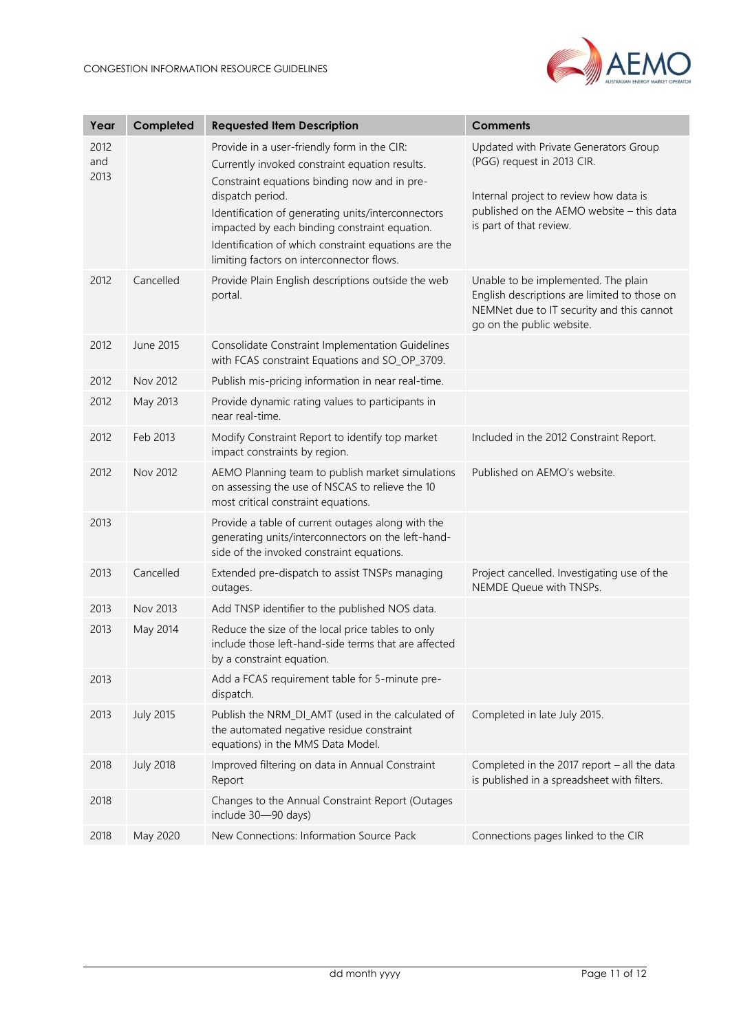

| Year                | Completed        | <b>Requested Item Description</b>                                                                                                                                                                                                                                                                                                                                             | <b>Comments</b>                                                                                                                                                                       |
|---------------------|------------------|-------------------------------------------------------------------------------------------------------------------------------------------------------------------------------------------------------------------------------------------------------------------------------------------------------------------------------------------------------------------------------|---------------------------------------------------------------------------------------------------------------------------------------------------------------------------------------|
| 2012<br>and<br>2013 |                  | Provide in a user-friendly form in the CIR:<br>Currently invoked constraint equation results.<br>Constraint equations binding now and in pre-<br>dispatch period.<br>Identification of generating units/interconnectors<br>impacted by each binding constraint equation.<br>Identification of which constraint equations are the<br>limiting factors on interconnector flows. | Updated with Private Generators Group<br>(PGG) request in 2013 CIR.<br>Internal project to review how data is<br>published on the AEMO website - this data<br>is part of that review. |
| 2012                | Cancelled        | Provide Plain English descriptions outside the web<br>portal.                                                                                                                                                                                                                                                                                                                 | Unable to be implemented. The plain<br>English descriptions are limited to those on<br>NEMNet due to IT security and this cannot<br>go on the public website.                         |
| 2012                | June 2015        | Consolidate Constraint Implementation Guidelines<br>with FCAS constraint Equations and SO_OP_3709.                                                                                                                                                                                                                                                                            |                                                                                                                                                                                       |
| 2012                | Nov 2012         | Publish mis-pricing information in near real-time.                                                                                                                                                                                                                                                                                                                            |                                                                                                                                                                                       |
| 2012                | May 2013         | Provide dynamic rating values to participants in<br>near real-time.                                                                                                                                                                                                                                                                                                           |                                                                                                                                                                                       |
| 2012                | Feb 2013         | Modify Constraint Report to identify top market<br>impact constraints by region.                                                                                                                                                                                                                                                                                              | Included in the 2012 Constraint Report.                                                                                                                                               |
| 2012                | Nov 2012         | AEMO Planning team to publish market simulations<br>on assessing the use of NSCAS to relieve the 10<br>most critical constraint equations.                                                                                                                                                                                                                                    | Published on AEMO's website.                                                                                                                                                          |
| 2013                |                  | Provide a table of current outages along with the<br>generating units/interconnectors on the left-hand-<br>side of the invoked constraint equations.                                                                                                                                                                                                                          |                                                                                                                                                                                       |
| 2013                | Cancelled        | Extended pre-dispatch to assist TNSPs managing<br>outages.                                                                                                                                                                                                                                                                                                                    | Project cancelled. Investigating use of the<br>NEMDE Queue with TNSPs.                                                                                                                |
| 2013                | Nov 2013         | Add TNSP identifier to the published NOS data.                                                                                                                                                                                                                                                                                                                                |                                                                                                                                                                                       |
| 2013                | May 2014         | Reduce the size of the local price tables to only<br>include those left-hand-side terms that are affected<br>by a constraint equation.                                                                                                                                                                                                                                        |                                                                                                                                                                                       |
| 2013                |                  | Add a FCAS requirement table for 5-minute pre-<br>dispatch.                                                                                                                                                                                                                                                                                                                   |                                                                                                                                                                                       |
| 2013                | <b>July 2015</b> | Publish the NRM_DI_AMT (used in the calculated of<br>the automated negative residue constraint<br>equations) in the MMS Data Model.                                                                                                                                                                                                                                           | Completed in late July 2015.                                                                                                                                                          |
| 2018                | <b>July 2018</b> | Improved filtering on data in Annual Constraint<br>Report                                                                                                                                                                                                                                                                                                                     | Completed in the 2017 report - all the data<br>is published in a spreadsheet with filters.                                                                                            |
| 2018                |                  | Changes to the Annual Constraint Report (Outages<br>include 30-90 days)                                                                                                                                                                                                                                                                                                       |                                                                                                                                                                                       |
| 2018                | May 2020         | New Connections: Information Source Pack                                                                                                                                                                                                                                                                                                                                      | Connections pages linked to the CIR                                                                                                                                                   |